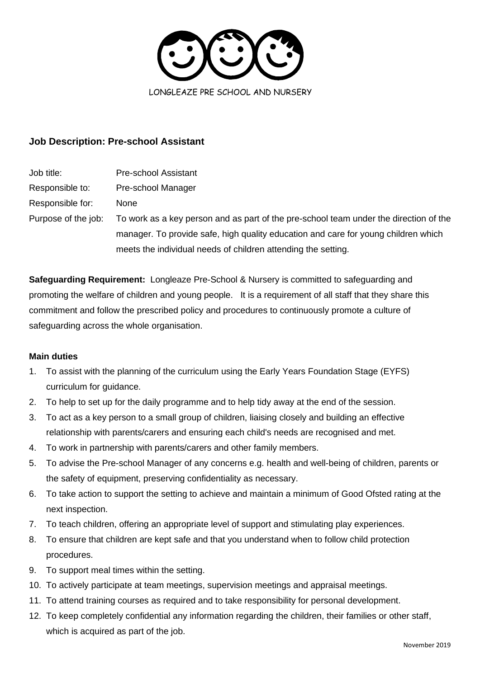

# **Job Description: Pre-school Assistant**

| Job title:          | Pre-school Assistant                                                                  |
|---------------------|---------------------------------------------------------------------------------------|
| Responsible to:     | Pre-school Manager                                                                    |
| Responsible for:    | <b>None</b>                                                                           |
| Purpose of the job: | To work as a key person and as part of the pre-school team under the direction of the |
|                     | manager. To provide safe, high quality education and care for young children which    |
|                     | meets the individual needs of children attending the setting.                         |

**Safeguarding Requirement:** Longleaze Pre-School & Nursery is committed to safeguarding and promoting the welfare of children and young people. It is a requirement of all staff that they share this commitment and follow the prescribed policy and procedures to continuously promote a culture of safeguarding across the whole organisation.

## **Main duties**

- 1. To assist with the planning of the curriculum using the Early Years Foundation Stage (EYFS) curriculum for guidance.
- 2. To help to set up for the daily programme and to help tidy away at the end of the session.
- 3. To act as a key person to a small group of children, liaising closely and building an effective relationship with parents/carers and ensuring each child's needs are recognised and met.
- 4. To work in partnership with parents/carers and other family members.
- 5. To advise the Pre-school Manager of any concerns e.g. health and well-being of children, parents or the safety of equipment, preserving confidentiality as necessary.
- 6. To take action to support the setting to achieve and maintain a minimum of Good Ofsted rating at the next inspection.
- 7. To teach children, offering an appropriate level of support and stimulating play experiences.
- 8. To ensure that children are kept safe and that you understand when to follow child protection procedures.
- 9. To support meal times within the setting.
- 10. To actively participate at team meetings, supervision meetings and appraisal meetings.
- 11. To attend training courses as required and to take responsibility for personal development.
- 12. To keep completely confidential any information regarding the children, their families or other staff, which is acquired as part of the job.